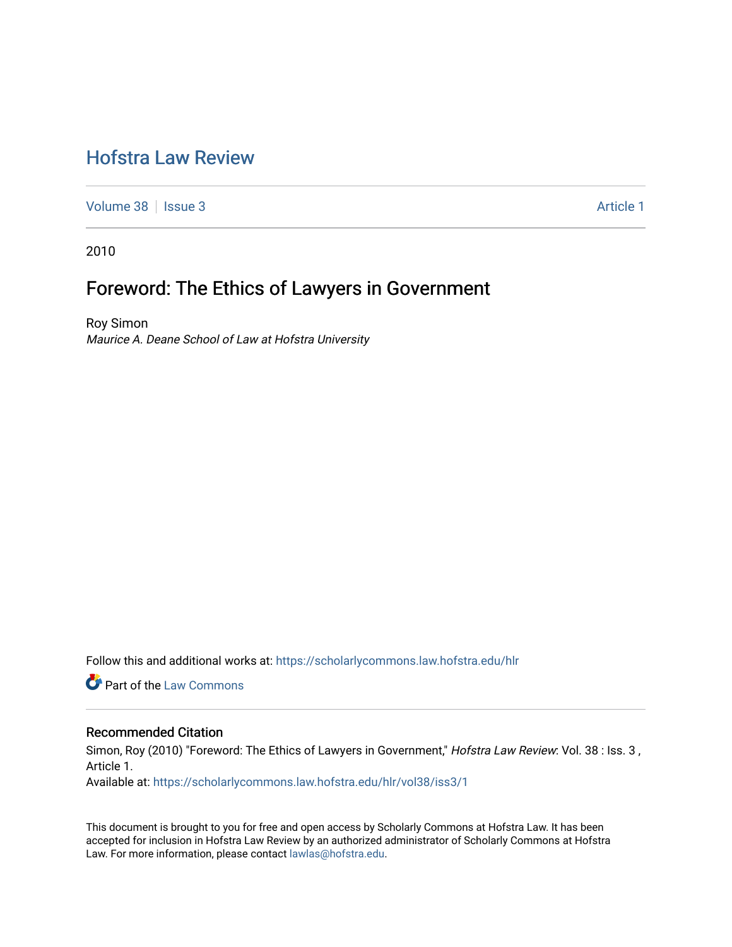# [Hofstra Law Review](https://scholarlycommons.law.hofstra.edu/hlr)

[Volume 38](https://scholarlycommons.law.hofstra.edu/hlr/vol38) | [Issue 3](https://scholarlycommons.law.hofstra.edu/hlr/vol38/iss3) Article 1

2010

# Foreword: The Ethics of Lawyers in Government

Roy Simon Maurice A. Deane School of Law at Hofstra University

Follow this and additional works at: [https://scholarlycommons.law.hofstra.edu/hlr](https://scholarlycommons.law.hofstra.edu/hlr?utm_source=scholarlycommons.law.hofstra.edu%2Fhlr%2Fvol38%2Fiss3%2F1&utm_medium=PDF&utm_campaign=PDFCoverPages)

**C** Part of the [Law Commons](http://network.bepress.com/hgg/discipline/578?utm_source=scholarlycommons.law.hofstra.edu%2Fhlr%2Fvol38%2Fiss3%2F1&utm_medium=PDF&utm_campaign=PDFCoverPages)

## Recommended Citation

Simon, Roy (2010) "Foreword: The Ethics of Lawyers in Government," Hofstra Law Review: Vol. 38 : Iss. 3, Article 1.

Available at: [https://scholarlycommons.law.hofstra.edu/hlr/vol38/iss3/1](https://scholarlycommons.law.hofstra.edu/hlr/vol38/iss3/1?utm_source=scholarlycommons.law.hofstra.edu%2Fhlr%2Fvol38%2Fiss3%2F1&utm_medium=PDF&utm_campaign=PDFCoverPages)

This document is brought to you for free and open access by Scholarly Commons at Hofstra Law. It has been accepted for inclusion in Hofstra Law Review by an authorized administrator of Scholarly Commons at Hofstra Law. For more information, please contact [lawlas@hofstra.edu.](mailto:lawlas@hofstra.edu)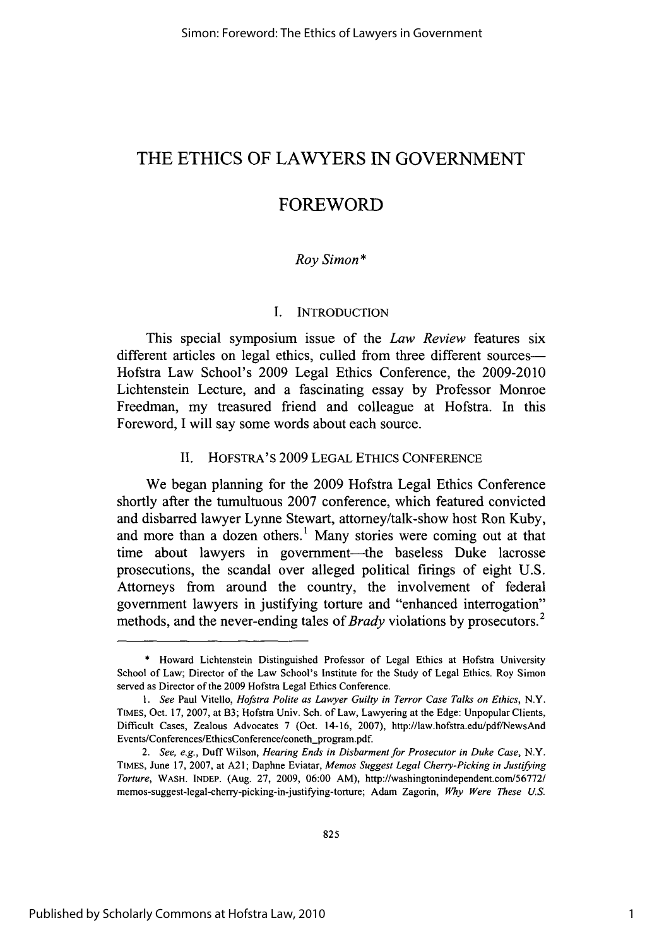# THE **ETHICS** OF LAWYERS **IN GOVERNMENT**

# **FOREWORD**

## *Roy Simon\**

#### **I. INTRODUCTION**

This special symposium issue of the *Law Review* features six different articles on legal ethics, culled from three different sources-Hofstra Law School's **2009** Legal Ethics Conference, the **2009-2010** Lichtenstein Lecture, and a fascinating essay **by** Professor Monroe Freedman, my treasured friend and colleague at Hofstra. In this Foreword, **I** will say some words about each source.

### **II.** HOFSTRA'S **2009 LEGAL ETHICS CONFERENCE**

We began planning for the **2009** Hofstra Legal Ethics Conference shortly after the tumultuous **2007** conference, which featured convicted and disbarred lawyer Lynne Stewart, attorney/talk-show host Ron Kuby, and more than a dozen others.' Many stories were coming out at that time about lawyers in government-the baseless Duke lacrosse prosecutions, the scandal over alleged political firings of eight **U.S.** Attorneys from around the country, the involvement of federal government lawyers in justifying torture and "enhanced interrogation" methods, and the never-ending tales of *Brady* violations **by** prosecutors.<sup>2</sup>

**<sup>\*</sup>** Howard Lichtenstein Distinguished Professor of Legal Ethics at Hofstra University School of Law; Director of the Law School's Institute for the Study of Legal Ethics. Roy Simon served as Director of the **2009** Hofstra Legal Ethics Conference.

*<sup>1.</sup> See* Paul Vitello, *Hofstra Polite as Lawyer Guilty in Terror Case Talks on Ethics, N.Y.* **TIMES,** Oct. **17, 2007,** at B3; Hofstra Univ. Sch. of Law, Lawyering at the Edge: Unpopular Clients, Difficult Cases, Zealous Advocates **7** (Oct. 14-16, **2007),** http://law.hofstra.edu/pdf/NewsAnd Events/Conferences/EthicsConference/coneth\_program.pdf.

*<sup>2.</sup> See, e.g.,* Duff Wilson, *Hearing Ends in Disbarment for Prosecutor in Duke Case, N.Y.* TIMES, June **17, 2007,** at **A2 l;** Daphne Eviatar, *Memos Suggest Legal Cherry-Picking in Justifying Torture,* WASH. **INDEP.** (Aug. **27, 2009, 06:00** AM), http://washingtonindependent.com/56772/ memos-suggest-legal-cherry-picking-in-justifying-torture; Adam Zagorin, *Why Were These U.S.*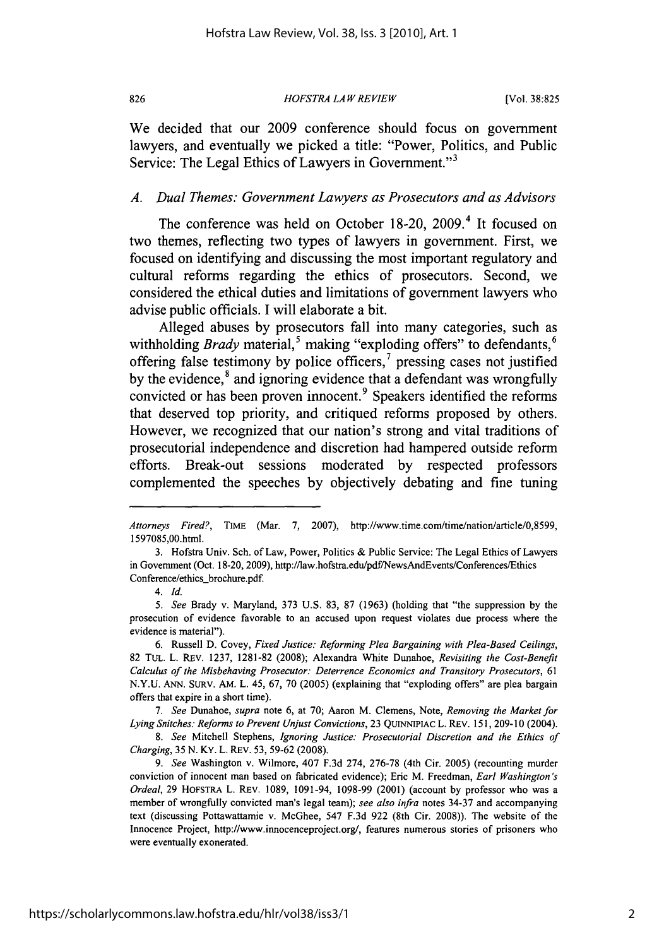*HOFSTRA LAW REVIEW* **826** [Vol. **38:825**

We decided that our **2009** conference should focus on government lawyers, and eventually we picked a title: "Power, Politics, and Public Service: The Legal Ethics of Lawyers in Government."<sup>3</sup>

#### *A. Dual Themes: Government Lawyers as Prosecutors and as Advisors*

The conference was held on October **18-20, 2009.4** It focused on two themes, reflecting two types of lawyers in government. First, we focused on identifying and discussing the most important regulatory and cultural reforms regarding the ethics of prosecutors. Second, we considered the ethical duties and limitations of government lawyers who advise public officials. **I** will elaborate a bit.

Alleged abuses **by** prosecutors fall into many categories, such as withholding *Brady* material,<sup>5</sup> making "exploding offers" to defendants,<sup>6</sup> offering false testimony **by** police officers,' pressing cases not justified by the evidence,<sup>8</sup> and ignoring evidence that a defendant was wrongfully convicted or has been proven innocent.<sup>9</sup> Speakers identified the reforms that deserved top priority, and critiqued reforms proposed **by** others. However, we recognized that our nation's strong and vital traditions of prosecutorial independence and discretion had hampered outside reform efforts. Break-out sessions moderated **by** respected professors complemented the speeches **by** objectively debating and fine tuning

*7. See Dunahoe, supra* note **6,** at **70;** Aaron M. Clemens, Note, *Removing the Market for Lying Snitches: Reforms to Prevent Unjust Convictions,* **23** QUINNIPIAC L. REv. **151, 209-10** (2004).

*Attorneys Fired?,* TIME (Mar. **7, 2007),** http://www.time.com/time/nation/article/0,8599, 1597085,00.html.

**<sup>3.</sup>** Hofstra Univ. Sch. of Law, Power, Politics **&** Public Service: The Legal Ethics of Lawyers in Government (Oct. **18-20, 2009),** http://law.hofstra.edu/pdf/NewsAndEvents/Conferences/Ethics Conference/ethics.brochure.pdf.

*<sup>4.</sup> Id.*

*<sup>5.</sup> See* Brady v. Maryland, **373 U.S. 83, 87 (1963)** (holding that "the suppression **by** the prosecution of evidence favorable to an accused upon request violates due process where the evidence is material").

**<sup>6.</sup>** Russell **D.** Covey, *Fixed Justice: Reforming Plea Bargaining with Plea-Based Ceilings,* **82** TuL. L. REv. **1237, 1281-82 (2008);** Alexandra White Dunahoe, *Revisiting the Cost-Benefit Calculus of the Misbehaving Prosecutor: Deterrence Economics and Transitory Prosecutors, <sup>61</sup>* **N.Y.U. ANN.** SURV. AM. L. 45, **67, 70 (2005)** (explaining that "exploding offers" are plea bargain offers that expire in a short time).

*<sup>8.</sup> See* Mitchell Stephens, *Ignoring Justice: Prosecutorial Discretion and the Ethics of Charging, 35* **N.** KY. L. REV. *53,* **59-62 (2008).**

*<sup>9.</sup> See* Washington v. Wilmore, 407 **F.3d** 274, **276-78** (4th Cir. **2005)** (recounting murder conviction of innocent man based on fabricated evidence); Eric M. Freedman, *Earl Washington's Ordeal,* **29 HOFSTRA L. REV. 1089,** 1091-94, **1098-99** (2001) (account **by** professor who was a member of wrongfully convicted man's legal team); *see also infra* notes **34-37** and accompanying text (discussing Pottawattamie v. McGhee, 547 **F.3d 922** (8th Cir. **2008)).** The website of the Innocence Project, http://www.innocenceproject.org/, features numerous stories of prisoners who were eventually exonerated.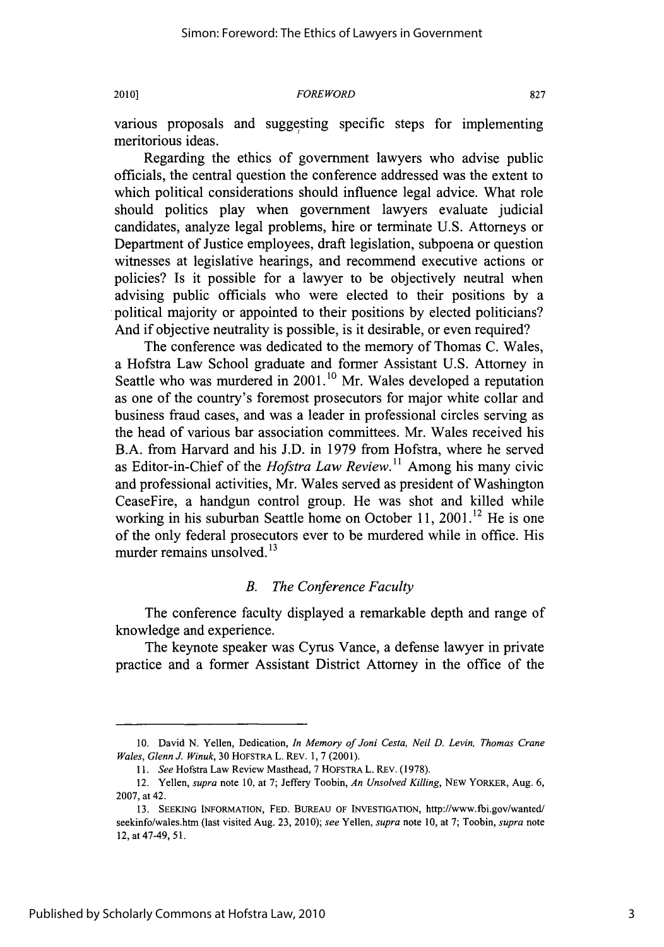#### 2010] *FOREWORD* **827**

various proposals and suggesting specific steps for implementing meritorious ideas.

Regarding the ethics of government lawyers who advise public officials, the central question the conference addressed was the extent to which political considerations should influence legal advice. What role should politics play when government lawyers evaluate judicial candidates, analyze legal problems, hire or terminate **U.S.** Attorneys or Department of Justice employees, draft legislation, subpoena or question witnesses at legislative hearings, and recommend executive actions or policies? Is it possible for a lawyer to be objectively neutral when advising public officials who were elected to their positions **by** a political majority or appointed to their positions **by** elected politicians? And if objective neutrality is possible, is it desirable, or even required?

The conference was dedicated to the memory of Thomas **C.** Wales, a Hofstra Law School graduate and former Assistant **U.S.** Attorney in Seattle who was murdered in **2001.10** Mr. Wales developed a reputation as one of the country's foremost prosecutors for major white collar and business fraud cases, and was a leader in professional circles serving as the head of various bar association committees. Mr. Wales received his B.A. from Harvard and his **J.D.** in **1979** from Hofstra, where he served as Editor-in-Chief of the *Hofstra Law Review."* Among his many civic and professional activities, Mr. Wales served as president of Washington CeaseFire, a handgun control group. He was shot and killed while working in his suburban Seattle home on October 11, 2001.<sup>12</sup> He is one of the only federal prosecutors ever to be murdered while in office. His murder remains unsolved.<sup>13</sup>

#### *B. The Conference Faculty*

The conference faculty displayed a remarkable depth and range of knowledge and experience.

The keynote speaker was Cyrus Vance, a defense lawyer in private practice and a former Assistant District Attorney in the office of the

**<sup>10.</sup>** David **N.** Yellen, Dedication, *In Memory of Joni Cesta, Neil D. Levin, Thomas Crane Wales, Glenn J. Winuk,* **30** HOFSTRA L. REV. **1, 7** (2001).

*<sup>11.</sup> See* Hofstra Law Review Masthead, **7** HOFSTRA L. REv. **(1978).**

<sup>12.</sup> Yellen, *supra* note **10,** at **7;** Jeffery Toobin, *An Unsolved Killing,* **NEW** YORKER, Aug. **6, 2007,** at 42.

**<sup>13.</sup> SEEKING** INFORMATION, **FED. BUREAU** OF **INVESTIGATION,** http://www.fbi.gov/wanted/ seekinfo/wales.htm (last visited Aug. **23,** 2010); *see Yellen, supra note* **10,** at **7;** Toobin, *supra* note 12, at 47-49, **51.**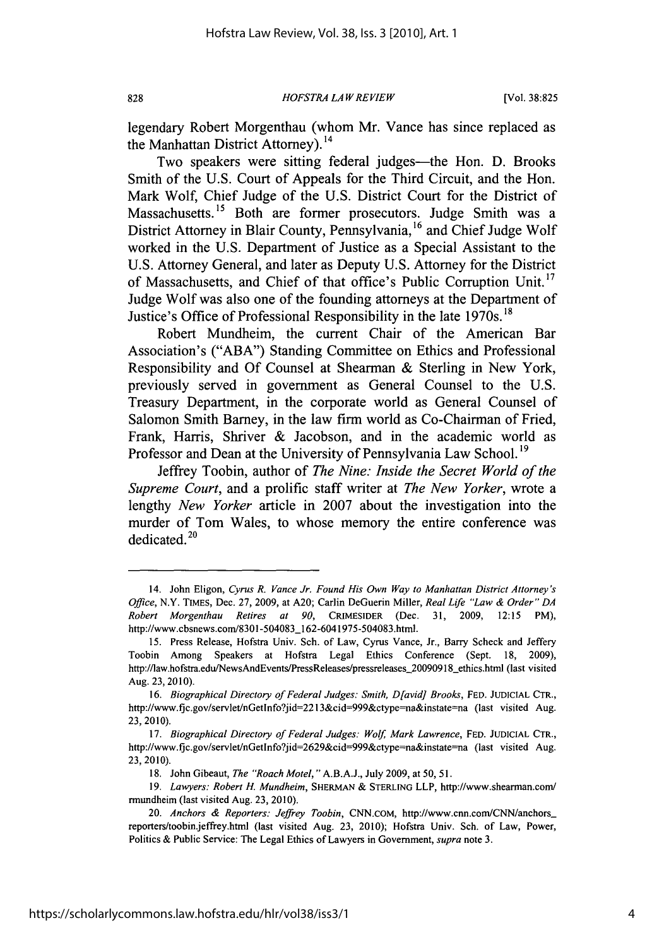*HOFSTRA LAW REVIEW* **828** [Vol. **38:825**

legendary Robert Morgenthau (whom Mr. Vance has since replaced as the Manhattan District Attorney).<sup>14</sup>

Two speakers were sitting federal judges-the Hon. **D.** Brooks Smith of the **U.S.** Court of Appeals for the Third Circuit, and the Hon. Mark Wolf, Chief Judge of the **U.S.** District Court for the District of Massachusetts.<sup>15</sup> Both are former prosecutors. Judge Smith was a District Attorney in Blair County, Pennsylvania,<sup>16</sup> and Chief Judge Wolf worked in the **U.S.** Department of Justice as a Special Assistant to the **U.S.** Attorney General, and later as Deputy **U.S.** Attorney for the District of Massachusetts, and Chief of that office's Public Corruption Unit.<sup>17</sup> Judge Wolf was also one of the founding attorneys at the Department of Justice's Office of Professional Responsibility in the late 1970s. **"**

Robert Mundheim, the current Chair of the American Bar Association's **("ABA")** Standing Committee on Ethics and Professional Responsibility and **Of** Counsel at Shearman **&** Sterling in New York, previously served in government as General Counsel to the **U.S.** Treasury Department, in the corporate world as General Counsel of Salomon Smith Barney, in the law firm world as Co-Chairman of Fried, Frank, Harris, Shriver **&** Jacobson, and in the academic world as Professor and Dean at the University of Pennsylvania Law School.<sup>19</sup>

Jeffrey Toobin, author of *The Nine: Inside the Secret World of the Supreme Court,* and a prolific staff writer at *The New Yorker,* wrote a lengthy *New Yorker* article in **2007** about the investigation into the murder of Tom Wales, to whose memory the entire conference was dedicated. $20$ 

<sup>14.</sup> John Eligon, *Cyrus R. Vance Jr. Found His Own Way to Manhattan District Attorney's Office,* N.Y. **TIMES,** Dec. **27, 2009,** at **A20;** Carlin DeGuerin Miller, *Real Life "Law & Order" DA Robert Morgenthau Retires at 90,* CRIMESIDER (Dec. **31, 2009, 12:15** PM), http://www.cbsnews.com/8301-504083\_162-6041975-504083.html.

**<sup>15.</sup>** Press Release, Hofstra Univ. Sch. of Law, Cyrus Vance, Jr., Barry Scheck and Jeffery Toobin Among Speakers at Hofstra Legal Ethics Conference (Sept. **18, 2009),** http://law.hofstra.edu/NewsAndEvents/PressReleases/pressreleases\_20090918\_ethics.html (last visited Aug. **23, 2010).**

*<sup>16.</sup> Biographical Directory of Federal Judges: Smith, D[avid] Brooks,* **FED.** JUDICIAL CTR., http://www.fjc.gov/servlet/nGetlnfo?jid=2213&cid=999&ctype-na&instate-na (last visited Aug. **23, 2010).**

<sup>17.</sup> *Biographical Directory of Federal Judges: Wolf, Mark Lawrence, FED. JUDICIAL CTR.,* http://www.fjc.gov/servlet/nGetInfo?jid=2629&cid=999&ctype=na&instate=na (last visited Aug. **23, 2010).**

**<sup>18.</sup>** John Gibeaut, *The "Roach Motel,* " **A.B.A.J.,** July **2009,** at *50, 51.*

<sup>19.</sup> *Lawyers: Robert H. Mundheim, SHERMAN & STERLING LLP, http://www.shearman.com/* rmundheim (last visited Aug. **23, 2010).**

*<sup>20.</sup> Anchors & Reporters: Jeffrey Toobin,* CNN.coM, http://www.cnn.com/CNN/anchors reporters/toobin.jeffrey.htmi (last visited Aug. **23,** 2010); Hofstra Univ. Sch. of Law, Power, Politics **&** Public Service: The Legal Ethics of Lawyers in Government, *supra* note **3.**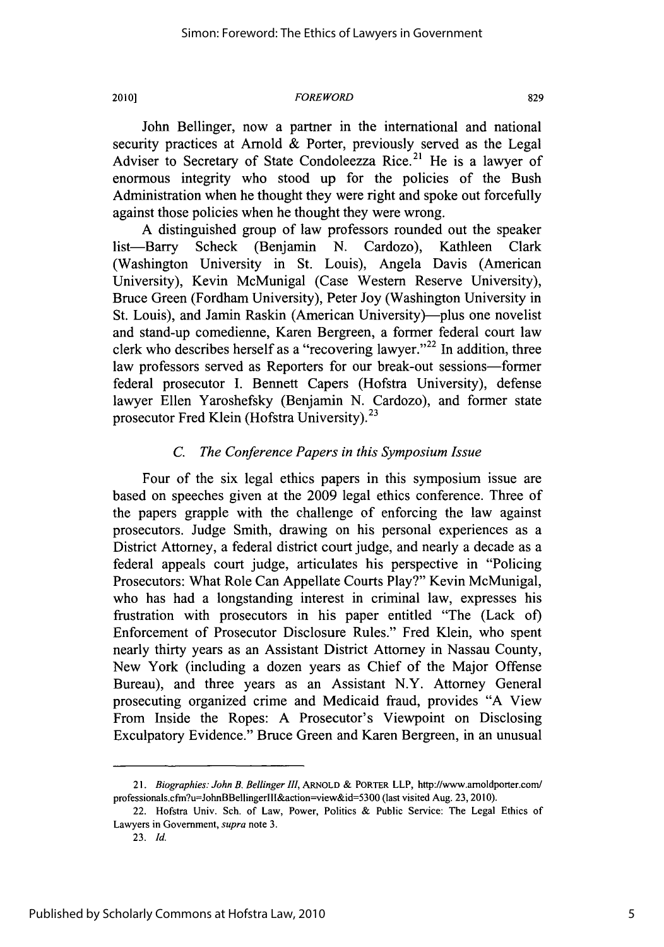#### 2010] *FORE WORD* **829**

John Bellinger, now a partner in the international and national security practices at Arnold **&** Porter, previously served as the Legal Adviser to Secretary of State Condoleezza Rice.<sup>21</sup> He is a lawyer of enormous integrity who stood up for the policies of the Bush Administration when he thought they were right and spoke out forcefully against those policies when he thought they were wrong.

**A** distinguished group of law professors rounded out the speaker list-Barry Scheck (Benjamin **N.** Cardozo), Kathleen Clark (Washington University in St. Louis), Angela Davis (American University), Kevin McMunigal (Case Western Reserve University), Bruce Green (Fordham University), Peter Joy (Washington University in St. Louis), and Jamin Raskin (American University)—plus one novelist and stand-up comedienne, Karen Bergreen, a former federal court law clerk who describes herself as a "recovering lawyer."<sup>22</sup> In addition, three law professors served as Reporters for our break-out sessions-former federal prosecutor **I.** Bennett Capers (Hofstra University), defense lawyer Ellen Yaroshefsky (Benjamin **N.** Cardozo), and former state prosecutor Fred Klein (Hofstra University).<sup>23</sup>

# *C. The Conference Papers in this Symposium Issue*

Four of the six legal ethics papers in this symposium issue are based on speeches given at the **2009** legal ethics conference. Three of the papers grapple with the challenge of enforcing the law against prosecutors. Judge Smith, drawing on his personal experiences as a District Attorney, a federal district court judge, and nearly a decade as a federal appeals court judge, articulates his perspective in "Policing Prosecutors: What Role Can Appellate Courts Play?" Kevin McMunigal, who has had a longstanding interest in criminal law, expresses his frustration with prosecutors in his paper entitled "The (Lack of) Enforcement of Prosecutor Disclosure Rules." Fred Klein, who spent nearly thirty years as an Assistant District Attorney in Nassau County, New York (including a dozen years as Chief of the Major Offense Bureau), and three years as an Assistant N.Y. Attorney General prosecuting organized crime and Medicaid fraud, provides **"A** View From Inside the Ropes: **A** Prosecutor's Viewpoint on Disclosing Exculpatory Evidence." Bruce Green and Karen Bergreen, in an unusual

*<sup>21.</sup> Biographies: John B. Bellinger III,* **ARNOLD & PORTER** LLP, http://www.arnoldporter.com/ professionals.cfm?u=JohnBBellingerlll&action=view&id=5300 (last visited Aug. **23, 2010).**

<sup>22.</sup> Hofstra Univ. Sch. of Law, Power, Politics **&** Public Service: The Legal Ethics of Lawyers in Government, *supra* note **3.**

**<sup>23.</sup>** *Id.*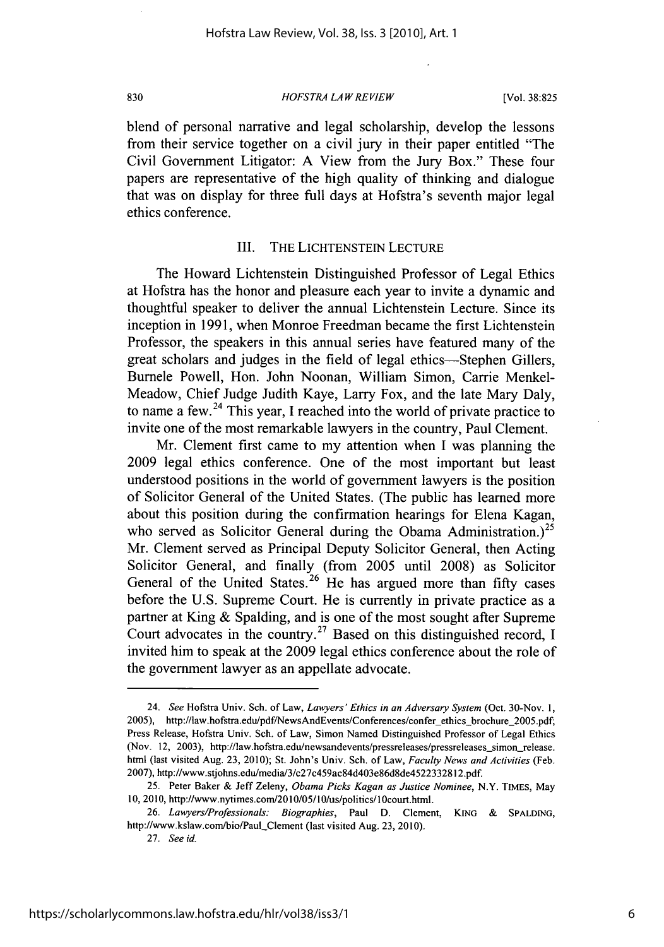*HOFSTRA LAW REVIEW* **830** [Vol. **38:825**

blend of personal narrative and legal scholarship, develop the lessons from their service together on a civil jury in their paper entitled "The Civil Government Litigator: **A** View from the Jury Box." These four papers are representative of the high quality of thinking and dialogue that was on display for three full days at Hofstra's seventh major legal ethics conference.

#### III. THE **LICHTENSTEIN LECTURE**

The Howard Lichtenstein Distinguished Professor of Legal Ethics at Hofstra has the honor and pleasure each year to invite a dynamic and thoughtful speaker to deliver the annual Lichtenstein Lecture. Since its inception in **1991,** when Monroe Freedman became the first Lichtenstein Professor, the speakers in this annual series have featured many of the great scholars and judges in the field of legal ethics—Stephen Gillers, Burnele Powell, Hon. John Noonan, William Simon, Carrie Menkel-Meadow, Chief Judge Judith Kaye, Larry Fox, and the late Mary Daly, to name a few.24 This year, **I** reached into the world of private practice to invite one of the most remarkable lawyers in the country, Paul Clement.

Mr. Clement first came to my attention when **I** was planning the **2009** legal ethics conference. One of the most important but least understood positions in the world of government lawyers is the position of Solicitor General of the United States. (The public has learned more about this position during the confirmation hearings for Elena Kagan, who served as Solicitor General during the Obama Administration.)<sup>25</sup> Mr. Clement served as Principal Deputy Solicitor General, then Acting Solicitor General, and finally (from **2005** until **2008)** as Solicitor General of the United States.<sup>26</sup> He has argued more than fifty cases before the **U.S.** Supreme Court. He is currently in private practice as a partner at King **&** Spalding, and is one of the most sought after Supreme Court advocates in the country.<sup>27</sup> Based on this distinguished record,  $I$ invited him to speak at the **2009** legal ethics conference about the role of the government lawyer as an appellate advocate.

<sup>24.</sup> *See* Hofstra Univ. Sch. of Law, *Lawyers' Ethics in an Adversary System* (Oct. 30-Nov. **1,** 2005), http://law.hofstra.edu/pdf/NewsAndEvents/Conferences/confer-ethics brochure 2005.pdf; Press Release, Hofstra Univ. Sch. of Law, Simon Named Distinguished Professor of Legal Ethics (Nov. 12, 2003), http://law.hofstra.edu/newsandevents/pressreleases/pressreleases\_simon\_release. html (last visited Aug. **23, 2010);** St. John's Univ. **Sch.** of Law, *Faculty News and Activities (Feb.* **2007),** http://www.stjohns.edulmedia/3/c27c459ac84d403e86d8de4522332812.pdf.

**<sup>25.</sup>** Peter Baker **&** Jeff Zeleny, *Obama Picks Kagan as Justice Nominee,* N.Y. **TIMES,** May **10, 2010,** http://www.nytimes.com/2010/05/10/us/politics/I0court.html.

*<sup>26.</sup> Lawyers/Professionals: Biographies,* Paul **D.** Clement, **KING & SPALDING,** http://www.kslaw.com/bio/Paul Clement (last visited Aug. **23,** 2010).

*<sup>27.</sup> See id.*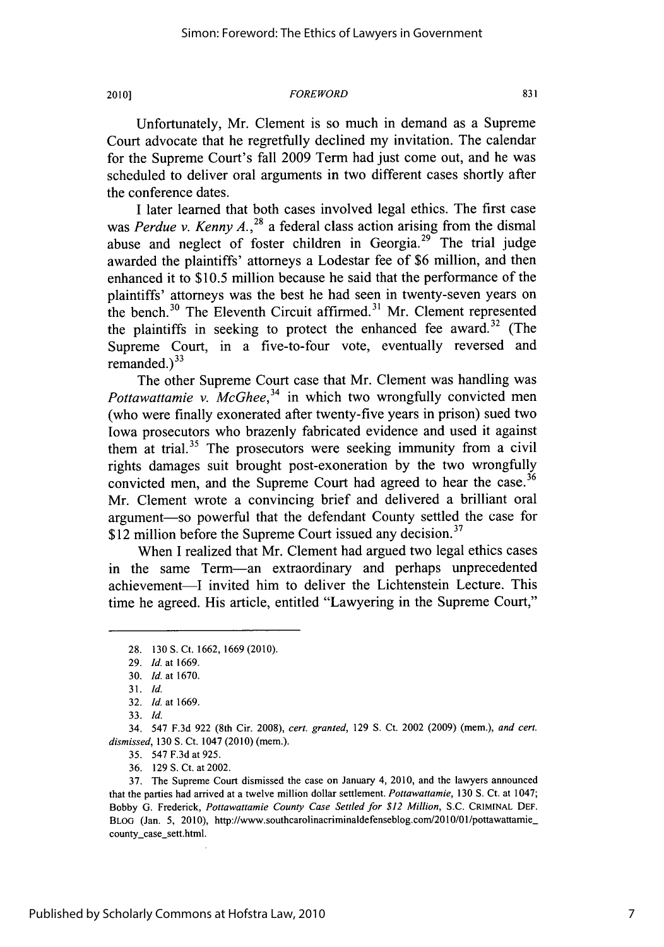#### 2010] FOREWORD **<sup>831</sup>**

Unfortunately, Mr. Clement is so much in demand as a Supreme Court advocate that he regretfully declined my invitation. The calendar for the Supreme Court's fall **2009** Term had just come out, and he was scheduled to deliver oral arguments in two different cases shortly after the conference dates.

**I** later learned that both cases involved legal ethics. The first case was *Perdue v. Kenny A.*,<sup>28</sup> a federal class action arising from the dismal abuse and neglect of foster children in Georgia.<sup>29</sup> The trial judge awarded the plaintiffs' attorneys a Lodestar fee of **\$6** million, and then enhanced it to **\$10.5** million because he said that the performance of the plaintiffs' attorneys was the best he had seen in twenty-seven years on the bench.<sup>30</sup> The Eleventh Circuit affirmed.<sup>31</sup> Mr. Clement represented the plaintiffs in seeking to protect the enhanced fee award.<sup>32</sup> (The Supreme Court, in a five-to-four vote, eventually reversed and remanded. $)^{33}$ 

The other Supreme Court case that Mr. Clement was handling was *Pottawattamie v. McGhee*,<sup>34</sup> in which two wrongfully convicted men (who were finally exonerated after twenty-five years in prison) sued two Iowa prosecutors who brazenly fabricated evidence and used it against them at trial.<sup>35</sup> The prosecutors were seeking immunity from a civil rights damages suit brought post-exoneration **by** the two wrongfully convicted men, and the Supreme Court had agreed to hear the case.<sup>36</sup> Mr. Clement wrote a convincing brief and delivered a brilliant oral argument-so powerful that the defendant County settled the case for \$12 million before the Supreme Court issued any decision.<sup>37</sup>

When I realized that Mr. Clement had argued two legal ethics cases in the same Term-an extraordinary and perhaps unprecedented achievement-I invited him to deliver the Lichtenstein Lecture. This time he agreed. His article, entitled "Lawyering in the Supreme Court,"

**<sup>28. 130</sup> S.** Ct. **1662, 1669** (2010).

**<sup>29.</sup>** *Id. at* **1669.**

**<sup>30.</sup>** *Id.* at **1670.**

**<sup>31.</sup>** *Id.*

**<sup>32.</sup>** *Id.* at **1669.**

**<sup>33.</sup>** *Id.*

<sup>34. 547</sup> **F.3d 922** (8th Cir. **2008),** *cert. granted,* **129 S.** Ct. 2002 **(2009) (mem.),** *and cert. dismissed,* **130 S.** Ct. 1047 **(2010)** (mem.).

*<sup>35.</sup>* 547 **F.3d** at **925.**

**<sup>36. 129</sup> S.** Ct. at 2002.

**<sup>37.</sup>** The Supreme Court dismissed the case on January 4, 2010, and the lawyers announced that the parties had arrived at a twelve million dollar settlement. *Pottawattamie,* **130 S.** Ct. at 1047; Bobby **G.** Frederick, *Pottawattamie County Case Settled for \$12 Million,* **S.C.** CRIMINAL **DEF.** BLOG (Jan. *5,* 2010), http://www.southcarolinacriminaldefenseblog.com/2010/01/pottawattamie county\_case\_sett.html.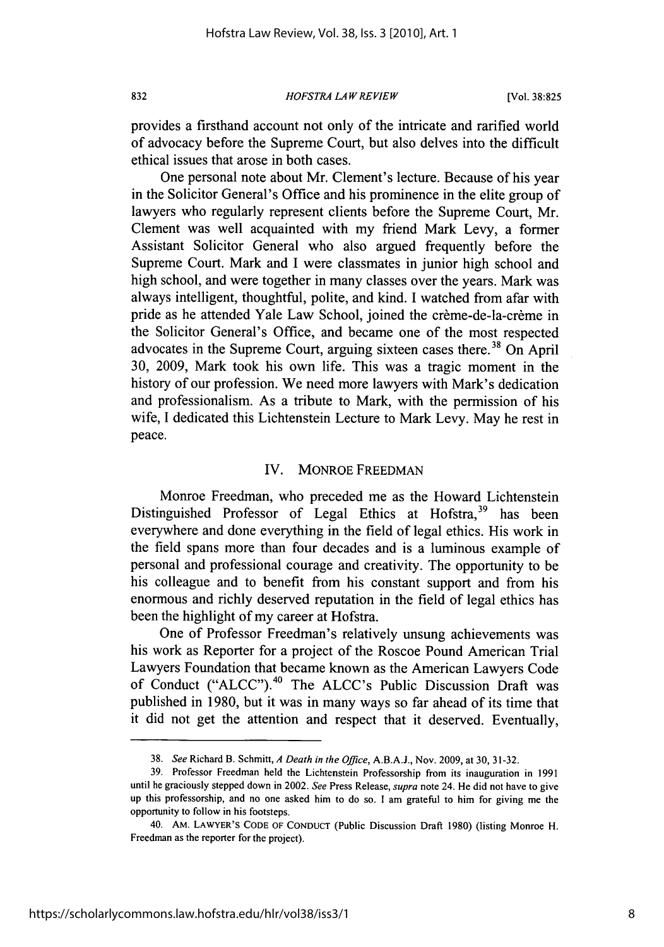*HOFSTRA LAW REVIEW* **832** [Vol. **38:825**

provides a firsthand account not only of the intricate and rarified world of advocacy before the Supreme Court, but also delves into the difficult ethical issues that arose in both cases.

One personal note about Mr. Clement's lecture. Because of his year in the Solicitor General's Office and his prominence in the elite group of lawyers who regularly represent clients before the Supreme Court, Mr. Clement was well acquainted with my friend Mark Levy, a former Assistant Solicitor General who also argued frequently before the Supreme Court. Mark and **I** were classmates in junior high school and high school, and were together in many classes over the years. Mark was always intelligent, thoughtful, polite, and kind. **I** watched from afar with pride as he attended Yale Law School, joined the crème-de-la-crème in the Solicitor General's Office, and became one of the most respected advocates in the Supreme Court, arguing sixteen cases there.<sup>38</sup> On April **30, 2009,** Mark took his own life. This was a tragic moment in the history of our profession. We need more lawyers with Mark's dedication and professionalism. As a tribute to Mark, with the permission of his wife, **I** dedicated this Lichtenstein Lecture to Mark Levy. May he rest in peace.

### IV. MONROE FREEDMAN

Monroe Freedman, who preceded me as the Howard Lichtenstein Distinguished Professor of Legal Ethics at Hofstra,<sup>39</sup> has been everywhere and done everything in the field of legal ethics. His work in the field spans more than four decades and is a luminous example of personal and professional courage and creativity. The opportunity to be his colleague and to benefit from his constant support and from his enormous and richly deserved reputation in the field of legal ethics has been the highlight of my career at Hofstra.

One of Professor Freedman's relatively unsung achievements was his work as Reporter for a project of the Roscoe Pound American Trial Lawyers Foundation that became known as the American Lawyers Code of Conduct ("ALCC").<sup>40</sup> The ALCC's Public Discussion Draft was published in **1980,** but it was in many ways so far ahead of its time that it did not get the attention and respect that it deserved. Eventually,

*<sup>38.</sup> See* **Richard** B. Schmitt, *A Death in* the Office, **A.B.A.J., Nov. 2009, at 30, 31-32.**

**<sup>39.</sup>** Professor Freedman held the Lichtenstein Professorship from its inauguration in **1991** until he graciously stepped down in 2002. See Press Release, supra note 24. He did not have to give up this professorship, and no one asked him to do so. **I** am grateful to him for giving me the opportunity to follow in his footsteps.

**<sup>40.</sup> AM. LAWYER'S CODE OF CONDUCT (Public** Discussion Draft **1980)** (listing Monroe H. Freedman as the reporter for the project).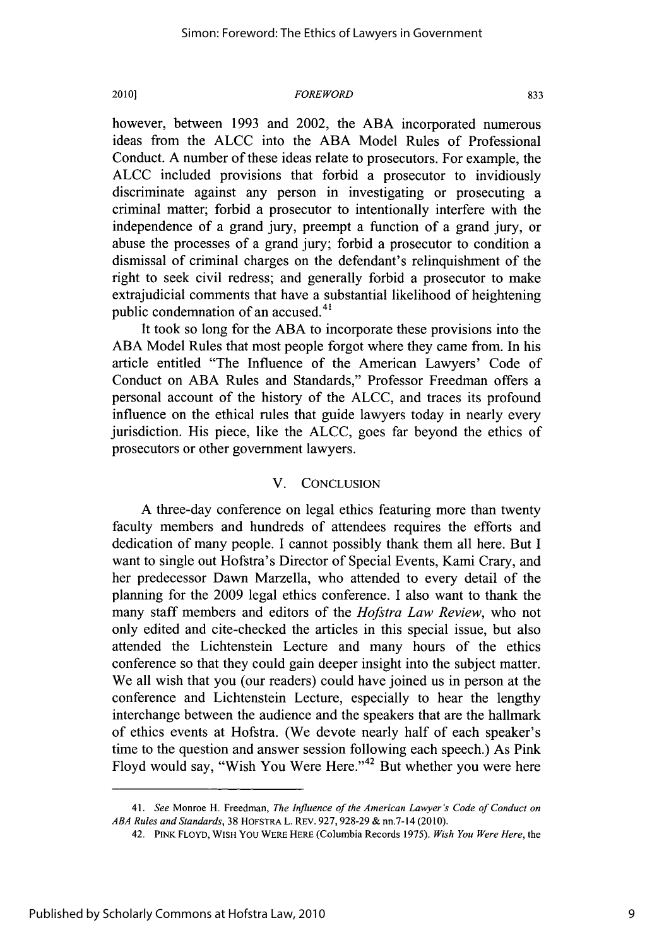#### 2010]) *FOREWORD* **833**

however, between **1993** and 2002, the **ABA** incorporated numerous ideas from the **ALCC** into the **ABA** Model Rules of Professional Conduct. **A** number of these ideas relate to prosecutors. For example, the **ALCC** included provisions that forbid a prosecutor to invidiously discriminate against any person in investigating or prosecuting a criminal matter; forbid a prosecutor to intentionally interfere with the independence of a grand jury, preempt a function of a grand jury, or abuse the processes of a grand jury; forbid a prosecutor to condition a dismissal of criminal charges on the defendant's relinquishment of the right to seek civil redress; and generally forbid a prosecutor to make extrajudicial comments that have a substantial likelihood of heightening public condemnation of an accused.<sup>41</sup>

It took so long for the **ABA** to incorporate these provisions into the **ABA** Model Rules that most people forgot where they came from. In his article entitled "The Influence of the American Lawyers' Code of Conduct on **ABA** Rules and Standards," Professor Freedman offers a personal account of the history of the **ALCC,** and traces its profound influence on the ethical rules that guide lawyers today in nearly every jurisdiction. His piece, like the **ALCC,** goes far beyond the ethics of prosecutors or other government lawyers.

#### V. **CONCLUSION**

**A** three-day conference on legal ethics featuring more than twenty faculty members and hundreds of attendees requires the efforts and dedication of many people. **I** cannot possibly thank them all here. But **I** want to single out Hofstra's Director of Special Events, Kami Crary, and her predecessor Dawn Marzella, who attended to every detail of the planning for the **2009** legal ethics conference. **I** also want to thank the many staff members and editors of the *Hofstra Law Review,* who not only edited and cite-checked the articles in this special issue, but also attended the Lichtenstein Lecture and many hours of the ethics conference so that they could gain deeper insight into the subject matter. We all wish that you (our readers) could have joined us in person at the conference and Lichtenstein Lecture, especially to hear the lengthy interchange between the audience and the speakers that are the hallmark of ethics events at Hofstra. (We devote nearly half of each speaker's time to the question and answer session following each speech.) As Pink Floyd would say, "Wish You Were Here."<sup>42</sup> But whether you were here

*<sup>41.</sup> See* Monroe H. Freedman, *The Influence of the American Lawyer's Code of Conduct on ABA Rules and Standards,* **38 HOFSTRA L. REV. 927,928-29 &** nn.7-14 (2010).

<sup>42.</sup> **PINK FLOYD, WISH YOU WERE HERE** (Columbia Records *1975). Wish You Were Here,* the